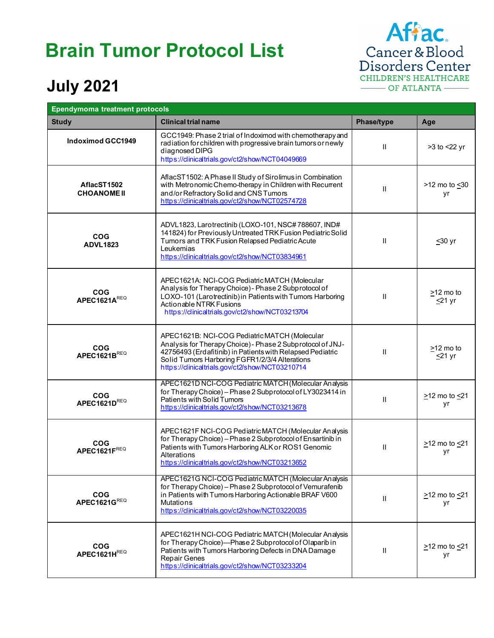## **Brain Tumor Protocol List**

Affac.<br>Cancer & Blood<br>Disorders Center CHILDREN'S HEALTHCARE OF ATLANTA

## **July 2021**

| <b>Ependymoma treatment protocols</b> |                                                                                                                                                                                                                                                                                |              |                                 |
|---------------------------------------|--------------------------------------------------------------------------------------------------------------------------------------------------------------------------------------------------------------------------------------------------------------------------------|--------------|---------------------------------|
| <b>Study</b>                          | <b>Clinical trial name</b>                                                                                                                                                                                                                                                     | Phase/type   | Age                             |
| Indoximod GCC1949                     | GCC1949: Phase 2 trial of Indoximod with chemotherapy and<br>radiation for children with progressive brain tumors or newly<br>diagnosed DIPG<br>https://clinicaltrials.gov/ct2/show/NCT04049669                                                                                | $\mathbf{H}$ | >3 to <22 yr                    |
| AflacST1502<br><b>CHOANOME II</b>     | AflacST1502: A Phase II Study of Sirolimus in Combination<br>with Metronomic Chemo-therapy in Children with Recurrent<br>and/or Refractory Solid and CNS Tumors<br>https://clinicaltrials.gov/ct2/show/NCT02574728                                                             | Ш            | >12 mo to <30<br>yr             |
| <b>COG</b><br><b>ADVL1823</b>         | ADVL1823, Larotrectinib (LOXO-101, NSC#788607, IND#<br>141824) for Previously Untreated TRK Fusion Pediatric Solid<br>Tumors and TRK Fusion Relapsed Pediatric Acute<br>Leukemias<br>https://clinicaltrials.gov/ct2/show/NCT03834961                                           | Ш            | $≤30$ yr                        |
| <b>COG</b><br>APEC1621AREQ            | APEC1621A: NCI-COG Pediatric MATCH (Molecular<br>Analysis for Therapy Choice) - Phase 2 Subprotocol of<br>LOXO-101 (Larotrectinib) in Patients with Tumors Harboring<br>Actionable NTRK Fusions<br>https://clinicaltrials.gov/ct2/show/NCT03213704                             | $\mathbf{I}$ | $\geq$ 12 mo to<br>$\leq$ 21 yr |
| $COG$<br>APEC1621B <sup>REQ</sup>     | APEC1621B: NCI-COG Pediatric MATCH (Molecular<br>Analysis for Therapy Choice) - Phase 2 Subprotocol of JNJ-<br>42756493 (Erdafitinib) in Patients with Relapsed Pediatric<br>Solid Tumors Harboring FGFR1/2/3/4 Alterations<br>https://clinicaltrials.gov/ct2/show/NCT03210714 | Ш            | $>12$ mo to<br>$\leq$ 21 yr     |
| <b>COG</b><br>APEC1621DREQ            | APEC1621D NCI-COG Pediatric MATCH (Molecular Analysis<br>for Therapy Choice) - Phase 2 Subprotocol of LY3023414 in<br>Patients with Solid Tumors<br>https://clinicaltrials.gov/ct2/show/NCT03213678                                                                            | Ш            | $\geq$ 12 mo to $\leq$ 21<br>yr |
| <b>COG</b><br>APEC1621FREQ            | APEC1621F NCI-COG Pediatric MATCH (Molecular Analysis<br>for Therapy Choice) - Phase 2 Subprotocol of Ensartinib in<br>Patients with Tumors Harboring ALK or ROS1 Genomic<br>Alterations<br>https://clinicaltrials.gov/ct2/show/NCT03213652                                    | Ш            | $\geq$ 12 mo to $\leq$ 21<br>уr |
| <b>COG</b><br>APEC1621GREQ            | APEC1621G NCI-COG Pediatric MATCH (Molecular Analysis<br>for Therapy Choice) - Phase 2 Subprotocol of Vemurafenib<br>in Patients with Tumors Harboring Actionable BRAF V600<br><b>Mutations</b><br>https://clinicaltrials.gov/ct2/show/NCT03220035                             | $\mathbf{I}$ | $\geq$ 12 mo to $\leq$ 21<br>yr |
| <b>COG</b><br>APEC1621HREQ            | APEC1621H NCI-COG Pediatric MATCH (Molecular Analysis<br>for Therapy Choice)-Phase 2 Subprotocol of Olaparib in<br>Patients with Tumors Harboring Defects in DNA Damage<br>Repair Genes<br>https://clinicaltrials.gov/ct2/show/NCT03233204                                     | Ш            | $\geq$ 12 mo to $\leq$ 21<br>yr |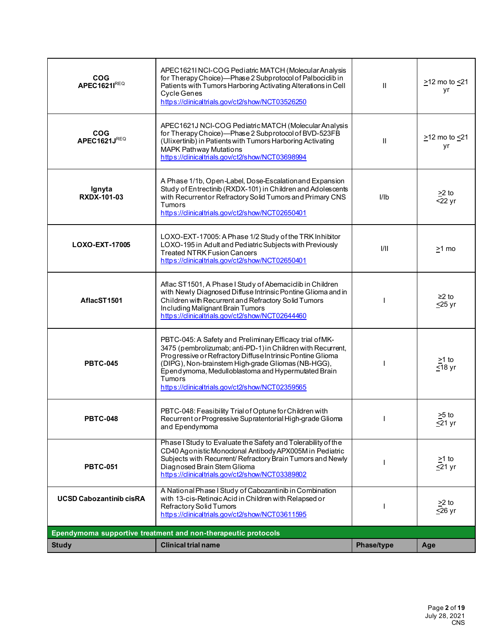| <b>COG</b><br><b>APEC1621IREQ</b> | APEC1621I NCI-COG Pediatric MATCH (Molecular Analysis<br>for Therapy Choice)-Phase 2 Subprotocol of Palbociclib in<br>Patients with Tumors Harboring Activating Alterations in Cell<br>Cycle Genes<br>https://clinicaltrials.gov/ct2/show/NCT03526250                                                                                                          | $\mathbf{H}$ | $\geq$ 12 mo to $\leq$ 21<br>yr      |
|-----------------------------------|----------------------------------------------------------------------------------------------------------------------------------------------------------------------------------------------------------------------------------------------------------------------------------------------------------------------------------------------------------------|--------------|--------------------------------------|
| <b>COG</b><br>APEC1621JREQ        | APEC1621J NCI-COG Pediatric MATCH (Molecular Analysis<br>for Therapy Choice)-Phase 2 Subprotocol of BVD-523FB<br>(Ulixertinib) in Patients with Tumors Harboring Activating<br>MAPK Pathway Mutations<br>https://clinicaltrials.gov/ct2/show/NCT03698994                                                                                                       | $\mathbf{H}$ | $\geq$ 12 mo to $\leq$ 21<br>yr      |
| Ignyta<br><b>RXDX-101-03</b>      | A Phase 1/1b, Open-Label, Dose-Escalationand Expansion<br>Study of Entrectinib (RXDX-101) in Children and Adolescents<br>with Recurrentor Refractory Solid Tumors and Primary CNS<br>Tumors<br>https://dinicaltrials.gov/ct2/show/NCT02650401                                                                                                                  | I/Ib         | $\geq$ 2 to<br>$22$ yr               |
| LOXO-EXT-17005                    | LOXO-EXT-17005: A Phase 1/2 Study of the TRK Inhibitor<br>LOXO-195 in Adult and Pediatric Subjects with Previously<br><b>Treated NTRK Fusion Cancers</b><br>https://clinicaltrials.gov/ct2/show/NCT02650401                                                                                                                                                    | 1/11         | >1 mo                                |
| AflacST1501                       | Aflac ST1501, A Phase I Study of Abemaciclib in Children<br>with Newly Diagnosed Diffuse Intrinsic Pontine Glioma and in<br>Children with Recurrent and Refractory Solid Tumors<br>Including Malignant Brain Tumors<br>https://clinicaltrials.gov/ct2/show/NCT02644460                                                                                         |              | $≥2$ to<br>$\leq$ 25 yr              |
| <b>PBTC-045</b>                   | PBTC-045: A Safety and Preliminary Efficacy trial of MK-<br>3475 (pembrolizumab; anti-PD-1) in Children with Recurrent,<br>Progressive or Refractory Diffuse Intrinsic Pontine Glioma<br>(DIPG), Non-brainstem High-grade Gliomas (NB-HGG),<br>Ependymoma, Medulloblastoma and Hypermutated Brain<br>Tumors<br>https://clinicaltrials.gov/ct2/show/NCT02359565 |              | $>1$ to<br>$\overline{\leq}18$ yr    |
| <b>PBTC-048</b>                   | PBTC-048: Feasibility Trial of Optune for Children with<br>Recurrent or Progressive Supratentorial High-grade Glioma<br>and Ependymoma                                                                                                                                                                                                                         |              | $>5$ to<br>$≤21$ yr                  |
| <b>PBTC-051</b>                   | Phase I Study to Evaluate the Safety and Tolerability of the<br>CD40 Agonistic Monoclonal Antibody APX005M in Pediatric<br>Subjects with Recurrent/Refractory Brain Tumors and Newly<br>Diagnosed Brain Stem Glioma<br>https://clinicaltrials.gov/ct2/show/NCT03389802                                                                                         |              | $\geq 1$ to<br>$\overline{\le}21$ yr |
| <b>UCSD Cabozantinib cisRA</b>    | A National Phase I Study of Cabozantinib in Combination<br>with 13-cis-Retinoic Acid in Children with Relapsed or<br>Refractory Solid Tumors<br>https://clinicaltrials.gov/ct2/show/NCT03611595                                                                                                                                                                |              | $\geq$ 2 to<br>$\leq$ 26 yr          |
|                                   | Ependymoma supportive treatment and non-therapeutic protocols                                                                                                                                                                                                                                                                                                  |              |                                      |
| <b>Study</b>                      | <b>Clinical trial name</b>                                                                                                                                                                                                                                                                                                                                     | Phase/type   | Age                                  |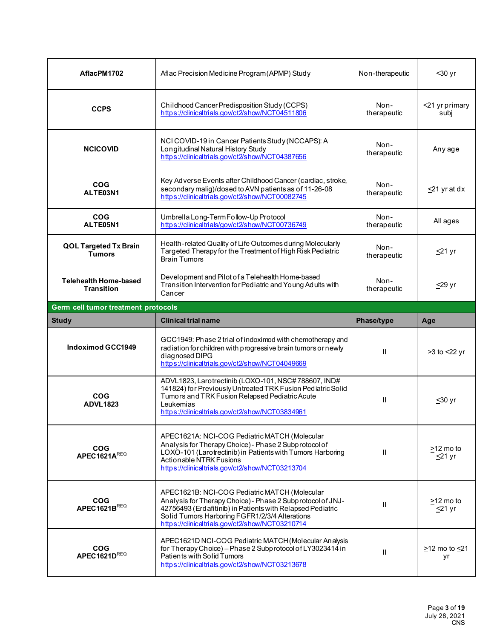| AflacPM1702                                       | Aflac Precision Medicine Program (APMP) Study                                                                                                                                                                                                                                  | Non-therapeutic     | $30 yr$                       |
|---------------------------------------------------|--------------------------------------------------------------------------------------------------------------------------------------------------------------------------------------------------------------------------------------------------------------------------------|---------------------|-------------------------------|
| <b>CCPS</b>                                       | Childhood Cancer Predisposition Study (CCPS)<br>https://clinicaltrials.gov/ct2/show/NCT04511806                                                                                                                                                                                | Non-<br>therapeutic | <21 yr primary<br>subj        |
| <b>NCICOVID</b>                                   | NCI COVID-19 in Cancer Patients Study (NCCAPS): A<br>Longitudinal Natural History Study<br>https://clinicaltrials.gov/ct2/show/NCT04387656                                                                                                                                     | Non-<br>therapeutic | Any age                       |
| <b>COG</b><br>ALTE03N1                            | Key Adverse Events after Childhood Cancer (cardiac, stroke,<br>secondary malig)/closed to AVN patients as of 11-26-08<br>https://clinicaltrials.gov/ct2/show/NCT00082745                                                                                                       | Non-<br>therapeutic | $\leq$ 21 yr at dx            |
| <b>COG</b><br>ALTE05N1                            | Umbrella Long-Term Follow-Up Protocol<br>https://clinicaltrials/gov/ct2/show/NCT00736749                                                                                                                                                                                       | Non-<br>therapeutic | All ages                      |
| <b>QOL Targeted Tx Brain</b><br><b>Tumors</b>     | Health-related Quality of Life Outcomes during Molecularly<br>Targeted Therapy for the Treatment of High Risk Pediatric<br><b>Brain Tumors</b>                                                                                                                                 | Non-<br>therapeutic | $≤21$ yr                      |
| <b>Telehealth Home-based</b><br><b>Transition</b> | Development and Pilot of a Telehealth Home-based<br>Transition Intervention for Pediatric and Young Adults with<br>Cancer                                                                                                                                                      | Non-<br>therapeutic | <u>&lt;</u> 29 yr             |
| Germ cell tumor treatment protocols               |                                                                                                                                                                                                                                                                                |                     |                               |
|                                                   |                                                                                                                                                                                                                                                                                |                     |                               |
| <b>Study</b>                                      | <b>Clinical trial name</b>                                                                                                                                                                                                                                                     | Phase/type          | Age                           |
| <b>Indoximod GCC1949</b>                          | GCC1949: Phase 2 trial of indoximod with chemotherapy and<br>radiation for children with progressive brain tumors or newly<br>diagnosed DIPG<br>https://clinicaltrials.gov/ct2/show/NCT04049669                                                                                | $\mathbf{H}$        | >3 to <22 yr                  |
| <b>COG</b><br><b>ADVL1823</b>                     | ADVL1823, Larotrectinib (LOXO-101, NSC#788607, IND#<br>141824) for Previously Untreated TRK Fusion Pediatric Solid<br>Tumors and TRK Fusion Relapsed Pediatric Acute<br>Leukemias<br>https://clinicaltrials.gov/ct2/show/NCT03834961                                           | Ш                   | <u>&lt;</u> 30 yr             |
| <b>COG</b><br>APEC1621AREQ                        | APEC1621A: NCI-COG Pediatric MATCH (Molecular<br>Analysis for Therapy Choice) - Phase 2 Subprotocol of<br>LOXO-101 (Larotrectinib) in Patients with Tumors Harboring<br>Actionable NTRK Fusions<br>https://clinicaltrials.gov/ct2/show/NCT03213704                             | Ш                   | $>12$ mo to<br><u>≤</u> 21 yr |
| <b>COG</b><br>APEC1621B $^{REQ}$                  | APEC1621B: NCI-COG Pediatric MATCH (Molecular<br>Analysis for Therapy Choice) - Phase 2 Subprotocol of JNJ-<br>42756493 (Erdafitinib) in Patients with Relapsed Pediatric<br>Solid Tumors Harboring FGFR1/2/3/4 Alterations<br>https://clinicaltrials.gov/ct2/show/NCT03210714 | $\mathbf{H}$        | $>12$ mo to<br>$\leq$ 21 yr   |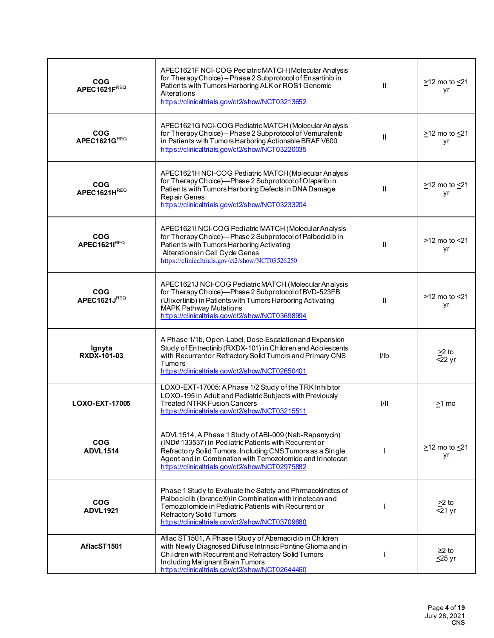| <b>COG</b><br>APEC1621FREQ    | APEC1621F NCI-COG Pediatric MATCH (Molecular Analysis<br>for Therapy Choice) - Phase 2 Subprotocol of Ensartinib in<br>Patients with Tumors Harboring ALK or ROS1 Genomic<br>Alterations<br>https://dinicaltrials.gov/ct2/show/NCT03213652                                                | $\mathbf{H}$ | $\geq$ 12 mo to $\leq$ 21<br>уr    |
|-------------------------------|-------------------------------------------------------------------------------------------------------------------------------------------------------------------------------------------------------------------------------------------------------------------------------------------|--------------|------------------------------------|
| <b>COG</b><br>APEC1621GREQ    | APEC1621G NCI-COG Pediatric MATCH (Molecular Analysis<br>for Therapy Choice) - Phase 2 Subprotocol of Vemurafenib<br>in Patients with Tumors Harboring Actionable BRAF V600<br>https://clinicaltrials.gov/ct2/show/NCT03220035                                                            | Ш            | $\geq$ 12 mo to $\leq$ 21<br>yr    |
| <b>COG</b><br>APEC1621HREQ    | APEC1621H NCI-COG Pediatric MATCH (Molecular Analysis<br>for Therapy Choice)-Phase 2 Subprotocol of Olaparib in<br>Patients with Tumors Harboring Defects in DNA Damage<br>Repair Genes<br>https://dinicaltrials.gov/ct2/show/NCT03233204                                                 | $\mathbf{H}$ | $\geq$ 12 mo to $\leq$ 21<br>yr    |
| <b>COG</b><br>APEC1621IREQ    | APEC1621I NCI-COG Pediatric MATCH (Molecular Analysis<br>for Therapy Choice)-Phase 2 Subprotocol of Palbociclib in<br>Patients with Tumors Harboring Activating<br>Alterations in Cell Cycle Genes<br>https://clinicaltrials.gov/ct2/show/NCT03526250                                     | $\mathbf{H}$ | >12 mo to <21<br>yr                |
| <b>COG</b><br>APEC1621JREQ    | APEC1621J NCI-COG Pediatric MATCH (Molecular Analysis<br>for Therapy Choice)-Phase 2 Subprotocol of BVD-523FB<br>(Ulixertinib) in Patients with Tumors Harboring Activating<br>MAPK Pathway Mutations<br>https://clinicaltrials.gov/ct2/show/NCT03698994                                  | $\mathbf{H}$ | $\geq$ 12 mo to $\leq$ 21<br>yr    |
| Ignyta<br><b>RXDX-101-03</b>  | A Phase 1/1b, Open-Label, Dose-Escalation and Expansion<br>Study of Entrectinib (RXDX-101) in Children and Adolescents<br>with Recurrentor Refractory Solid Tumors and Primary CNS<br><b>Tumors</b><br>https://clinicaltrials.gov/ct2/show/NCT02650401                                    | I/Ib         | $\geq$ 2 to<br>$\overline{5}$ 2 yr |
| LOXO-EXT-17005                | LOXO-EXT-17005: A Phase 1/2 Study of the TRK Inhibitor<br>LOXO-195 in Adult and Pediatric Subjects with Previously<br><b>Treated NTRK Fusion Cancers</b><br>https://clinicaltrials.gov/ct2/show/NCT03215511                                                                               | 1/11         | >1 mo                              |
| <b>COG</b><br><b>ADVL1514</b> | ADVL1514, A Phase 1 Study of ABI-009 (Nab-Rapamycin)<br>(IND#133537) in Pediatric Patients with Recurrent or<br>Refractory Solid Tumors, Including CNS Tumors as a Single<br>Agent and in Combination with Temozolomide and Irinotecan<br>https://clinicaltrials.gov/ct2/show/NCT02975882 |              | $\geq$ 12 mo to $\leq$ 21<br>yr    |
| <b>COG</b><br><b>ADVL1921</b> | Phase 1 Study to Evaluate the Safety and Phrmacokinetics of<br>Palbociclib (Ibrance®) in Combination with Irinotecan and<br>Temozolomide in Pediatric Patients with Recurrent or<br>Refractory Solid Tumors<br>https://clinicaltrials.gov/ct2/show/NCT03709680                            |              | $\geq$ to<br>$\overline{5}$ 21 yr  |
| AflacST1501                   | Aflac ST1501, A Phase I Study of Abemaciclib in Children<br>with Newly Diagnosed Diffuse Intrinsic Pontine Glioma and in<br>Children with Recurrent and Refractory Solid Tumors<br>Including Malignant Brain Tumors<br>https://clinicaltrials.gov/ct2/show/NCT02644460                    |              | $≥2$ to<br>$\leq$ 25 yr            |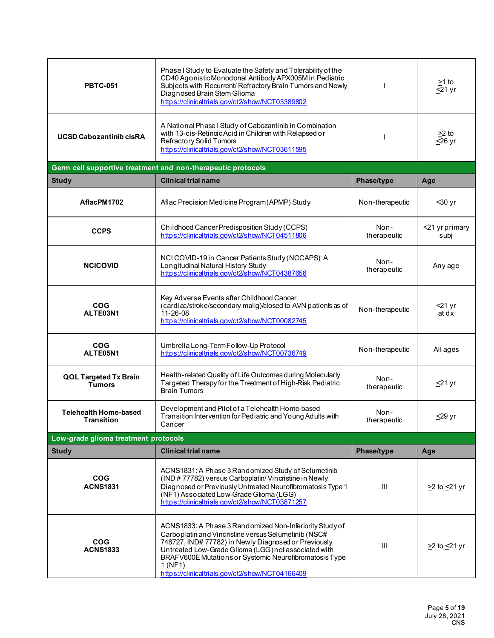| <b>PBTC-051</b>                                   | Phase I Study to Evaluate the Safety and Tolerability of the<br>CD40 Agonistic Monoclonal Antibody APX005M in Pediatric<br>Subjects with Recurrent/Refractory Brain Tumors and Newly<br>Diagnosed Brain Stem Glioma<br>https://clinicaltrials.gov/ct2/show/NCT03389802                                                                                 |                     | $\geq 1$ to<br>$\overline{\le}$ 21 yr |
|---------------------------------------------------|--------------------------------------------------------------------------------------------------------------------------------------------------------------------------------------------------------------------------------------------------------------------------------------------------------------------------------------------------------|---------------------|---------------------------------------|
| <b>UCSD Cabozantinib cisRA</b>                    | A National Phase I Study of Cabozantinib in Combination<br>with 13-cis-Retinoic Acid in Children with Relapsed or<br>Refractory Solid Tumors<br>https://clinicaltrials.gov/ct2/show/NCT03611595                                                                                                                                                        |                     | $\geq$ 2 to<br>$\overline{\leq}26$ yr |
|                                                   | Germ cell supportive treatment and non-therapeutic protocols                                                                                                                                                                                                                                                                                           |                     |                                       |
| <b>Study</b>                                      | <b>Clinical trial name</b>                                                                                                                                                                                                                                                                                                                             | Phase/type          | Age                                   |
| AflacPM1702                                       | Aflac Precision Medicine Program (APMP) Study                                                                                                                                                                                                                                                                                                          | Non-therapeutic     | $30$ yr                               |
| <b>CCPS</b>                                       | Childhood Cancer Predisposition Study (CCPS)<br>https://clinicaltrials.gov/ct2/show/NCT04511806                                                                                                                                                                                                                                                        | Non-<br>therapeutic | <21 yr primary<br>subj                |
| <b>NCICOVID</b>                                   | NCI COVID-19 in Cancer Patients Study (NCCAPS): A<br>Longitudinal Natural History Study<br>https://clinicaltrials.gov/ct2/show/NCT04387656                                                                                                                                                                                                             | Non-<br>therapeutic | Any age                               |
| <b>COG</b><br>ALTE03N1                            | Key Adverse Events after Childhood Cancer<br>(cardiac/stroke/secondary malig)/closed to AVN patients as of<br>11-26-08<br>https://clinicaltrials.gov/ct2/show/NCT00082745                                                                                                                                                                              | Non-therapeutic     | ≤21 yr<br>at dx                       |
| <b>COG</b><br>ALTE05N1                            | Umbrella Long-Term Follow-Up Protocol<br>https://clinicaltrials.gov/ct2/show/NCT00736749                                                                                                                                                                                                                                                               | Non-therapeutic     | All ages                              |
| <b>QOL Targeted Tx Brain</b><br><b>Tumors</b>     | Health-related Quality of Life Outcomes during Molecularly<br>Targeted Therapy for the Treatment of High-Risk Pediatric<br><b>Brain Tumors</b>                                                                                                                                                                                                         | Non-<br>therapeutic | $≤21$ yr                              |
| <b>Telehealth Home-based</b><br><b>Transition</b> | Development and Pilot of a Telehealth Home-based<br>Transition Intervention for Pediatric and Young Adults with<br>Cancer                                                                                                                                                                                                                              | Non-<br>therapeutic | ≤29 yr                                |
| Low-grade glioma treatment protocols              |                                                                                                                                                                                                                                                                                                                                                        |                     |                                       |
| <b>Study</b>                                      | <b>Clinical trial name</b>                                                                                                                                                                                                                                                                                                                             | Phase/type          | Age                                   |
| <b>COG</b><br><b>ACNS1831</b>                     | ACNS1831: A Phase 3 Randomized Study of Selumetinib<br>(IND # 77782) versus Carboplatin/ Vincristine in Newly<br>Diagnosed or Previously Untreated Neurofibromatosis Type 1<br>(NF1) Associated Low-Grade Glioma (LGG)<br>https://clinicaltrials.gov/ct2/show/NCT03871257                                                                              | III                 | $\geq$ 2 to $\leq$ 21 yr              |
| <b>COG</b><br><b>ACNS1833</b>                     | ACNS1833: A Phase 3 Randomized Non-Inferiority Study of<br>Carboplatin and Vincristine versus Selumetinib (NSC#<br>748727, IND# 77782) in Newly Diagnosed or Previously<br>Untreated Low-Grade Glioma (LGG) not associated with<br>BRAFV600E Mutations or Systemic Neurofibromatosis Type<br>1(NF1)<br>https://clinicaltrials.gov/ct2/show/NCT04166409 | III                 | $\geq$ 2 to $\leq$ 21 yr              |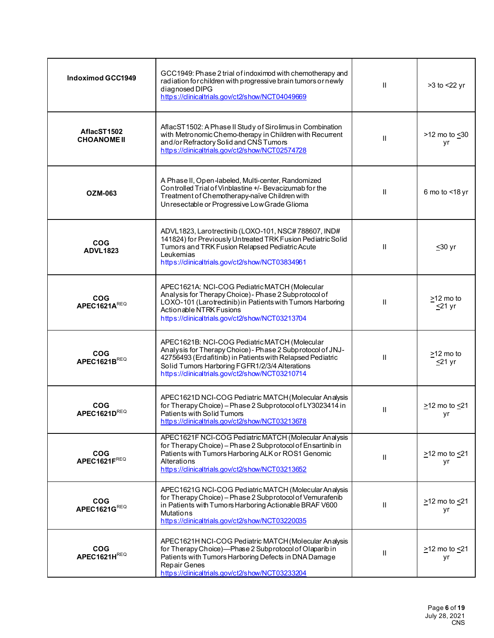| <b>Indoximod GCC1949</b>          | GCC1949: Phase 2 trial of indoximod with chemotherapy and<br>radiation for children with progressive brain tumors or newly<br>diagnosed DIPG<br>https://clinicaltrials.gov/ct2/show/NCT04049669                                                                                | Ш            | >3 to <22 yr                    |
|-----------------------------------|--------------------------------------------------------------------------------------------------------------------------------------------------------------------------------------------------------------------------------------------------------------------------------|--------------|---------------------------------|
| AflacST1502<br><b>CHOANOME II</b> | AflacST1502: A Phase II Study of Sirolimus in Combination<br>with Metronomic Chemo-therapy in Children with Recurrent<br>and/or Refractory Solid and CNS Tumors<br>https://clinicaltrials.gov/ct2/show/NCT02574728                                                             | Ш            | >12 mo to <30<br>yr             |
| <b>OZM-063</b>                    | A Phase II, Open-labeled, Multi-center, Randomized<br>Controlled Trial of Vinblastine +/- Bevacizumab for the<br>Treatment of Chemotherapy-naïve Children with<br>Unresectable or Progressive Low Grade Glioma                                                                 | $\mathbf{I}$ | 6 mo to <18 yr                  |
| <b>COG</b><br><b>ADVL1823</b>     | ADVL1823, Larotrectinib (LOXO-101, NSC#788607, IND#<br>141824) for Previously Untreated TRK Fusion Pediatric Solid<br>Tumors and TRK Fusion Relapsed Pediatric Acute<br>Leukemias<br>https://clinicaltrials.gov/ct2/show/NCT03834961                                           | Ш            | $≤30$ yr                        |
| <b>COG</b><br>APEC1621AREQ        | APEC1621A: NCI-COG Pediatric MATCH (Molecular<br>Analysis for Therapy Choice) - Phase 2 Subprotocol of<br>LOXO-101 (Larotrectinib) in Patients with Tumors Harboring<br>Actionable NTRK Fusions<br>https://dinicaltrials.gov/ct2/show/NCT03213704                              | Ш            | >12 mo to<br>$\leq$ 21 yr       |
| <b>COG</b><br>APEC1621BREQ        | APEC1621B: NCI-COG Pediatric MATCH (Molecular<br>Analysis for Therapy Choice) - Phase 2 Subprotocol of JNJ-<br>42756493 (Erdafitinib) in Patients with Relapsed Pediatric<br>Solid Tumors Harboring FGFR1/2/3/4 Alterations<br>https://clinicaltrials.gov/ct2/show/NCT03210714 | Ш            | >12 mo to<br><u>≤</u> 21 yr     |
| <b>COG</b><br>APEC1621DREQ        | APEC1621D NCI-COG Pediatric MATCH (Molecular Analysis<br>for Therapy Choice) - Phase 2 Subprotocol of LY3023414 in<br>Patients with Solid Tumors<br>https://dinicaltrials.gov/ct2/show/NCT03213678                                                                             | $\mathbf{I}$ | $\geq$ 12 mo to $\leq$ 21<br>уr |
| <b>COG</b><br>APEC1621FREQ        | APEC1621F NCI-COG Pediatric MATCH (Molecular Analysis<br>for Therapy Choice) - Phase 2 Subprotocol of Ensartinib in<br>Patients with Tumors Harboring ALK or ROS1 Genomic<br>Alterations<br>https://clinicaltrials.gov/ct2/show/NCT03213652                                    | $\mathbf{I}$ | $\geq$ 12 mo to $\leq$ 21<br>уr |
| <b>COG</b><br>APEC1621GREQ        | APEC1621G NCI-COG Pediatric MATCH (Molecular Analysis<br>for Therapy Choice) - Phase 2 Subprotocol of Vemurafenib<br>in Patients with Tumors Harboring Actionable BRAF V600<br><b>Mutations</b><br>https://dinicaltrials.gov/ct2/show/NCT03220035                              | Ш            | $\geq$ 12 mo to $\leq$ 21<br>уr |
| <b>COG</b><br>APEC1621HREQ        | APEC1621H NCI-COG Pediatric MATCH (Molecular Analysis<br>for Therapy Choice)-Phase 2 Subprotocol of Olaparib in<br>Patients with Tumors Harboring Defects in DNA Damage<br>Repair Genes<br>https://clinicaltrials.gov/ct2/show/NCT03233204                                     | Ш            | $\geq$ 12 mo to $\leq$ 21<br>yr |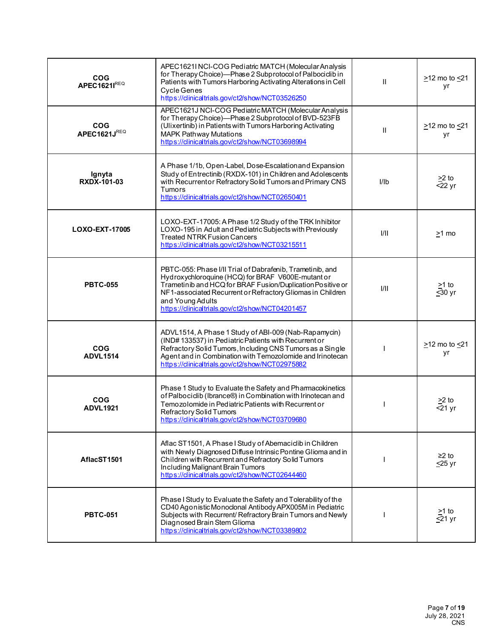| <b>COG</b><br><b>APEC1621IREQ</b> | APEC1621I NCI-COG Pediatric MATCH (Molecular Analysis<br>for Therapy Choice)-Phase 2 Subprotocol of Palbociclib in<br>Patients with Tumors Harboring Activating Alterations in Cell<br><b>Cycle Genes</b><br>https://clinicaltrials.gov/ct2/show/NCT03526250                                                      | $\mathbf{H}$ | $\geq$ 12 mo to $\leq$ 21<br>yr       |
|-----------------------------------|-------------------------------------------------------------------------------------------------------------------------------------------------------------------------------------------------------------------------------------------------------------------------------------------------------------------|--------------|---------------------------------------|
| <b>COG</b><br>APEC1621JREQ        | APEC1621J NCI-COG Pediatric MATCH (Molecular Analysis<br>for Therapy Choice)-Phase 2 Subprotocol of BVD-523FB<br>(Ulixertinib) in Patients with Tumors Harboring Activating<br>MAPK Pathway Mutations<br>https://clinicaltrials.gov/ct2/show/NCT03698994                                                          | $\mathbf{H}$ | $\geq$ 12 mo to $\leq$ 21<br>yr       |
| Ignyta<br><b>RXDX-101-03</b>      | A Phase 1/1b, Open-Label, Dose-Escalation and Expansion<br>Study of Entrectinib (RXDX-101) in Children and Adolescents<br>with Recurrentor Refractory Solid Tumors and Primary CNS<br><b>Tumors</b><br>https://clinicaltrials.gov/ct2/show/NCT02650401                                                            | I/Ib         | $\geq$ 2 to<br>$22 \,\mathrm{yr}$     |
| LOXO-EXT-17005                    | LOXO-EXT-17005: A Phase 1/2 Study of the TRK Inhibitor<br>LOXO-195 in Adult and Pediatric Subjects with Previously<br><b>Treated NTRK Fusion Cancers</b><br>https://clinicaltrials.gov/ct2/show/NCT03215511                                                                                                       | 1/11         | >1 mo                                 |
| <b>PBTC-055</b>                   | PBTC-055: Phase I/II Trial of Dabrafenib, Trametinib, and<br>Hydroxychloroquine (HCQ) for BRAF V600E-mutant or<br>Trametinib and HCQ for BRAF Fusion/Duplication Positive or<br>NF1-associated Recurrent or Refractory Gliomas in Children<br>and Young Adults<br>https://clinicaltrials.gov/ct2/show/NCT04201457 | 1/11         | $\geq$ 1 to<br>$\overline{\leq}30$ yr |
| <b>COG</b><br><b>ADVL1514</b>     | ADVL1514, A Phase 1 Study of ABI-009 (Nab-Rapamycin)<br>(IND#133537) in Pediatric Patients with Recurrent or<br>Refractory Solid Tumors, Including CNS Tumors as a Single<br>Agent and in Combination with Temozolomide and Irinotecan<br>https://clinicaltrials.gov/ct2/show/NCT02975882                         |              | $\geq$ 12 mo to $\leq$ 21<br>уr       |
| <b>COG</b><br><b>ADVL1921</b>     | Phase 1 Study to Evaluate the Safety and Pharmacokinetics<br>of Palbociclib (Ibrance®) in Combination with Irinotecan and<br>Temozolomide in Pediatric Patients with Recurrent or<br>Refractory Solid Tumors<br>https://clinicaltrials.gov/ct2/show/NCT03709680                                                   |              | $>2$ to<br>$21 \text{ yr}$            |
| AflacST1501                       | Aflac ST1501, A Phase I Study of Abemaciclib in Children<br>with Newly Diagnosed Diffuse Intrinsic Pontine Glioma and in<br>Children with Recurrent and Refractory Solid Tumors<br>Including Malignant Brain Tumors<br>https://clinicaltrials.gov/ct2/show/NCT02644460                                            |              | ≥2 to<br>$\leq$ 25 yr                 |
| <b>PBTC-051</b>                   | Phase I Study to Evaluate the Safety and Tolerability of the<br>CD40 Agonistic Monoclonal Antibody APX005M in Pediatric<br>Subjects with Recurrent/Refractory Brain Tumors and Newly<br>Diagnosed Brain Stem Glioma<br>https://clinicaltrials.gov/ct2/show/NCT03389802                                            |              | >1 to<br>$\leq$ 21 yr                 |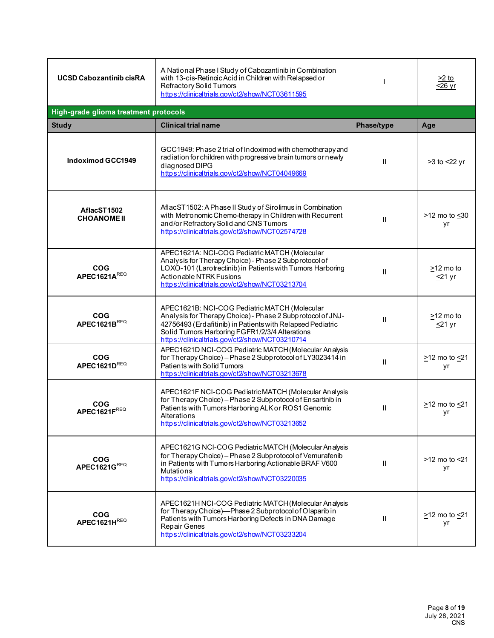| <b>UCSD Cabozantinib cisRA</b>        | A National Phase I Study of Cabozantinib in Combination<br>with 13-cis-Retinoic Acid in Children with Relapsed or<br>Refractory Solid Tumors<br>https://dinicaltrials.gov/ct2/show/NCT03611595                                                                                 |                   | <u>&gt;2 to</u><br>$\sqrt{26}$ yr |
|---------------------------------------|--------------------------------------------------------------------------------------------------------------------------------------------------------------------------------------------------------------------------------------------------------------------------------|-------------------|-----------------------------------|
| High-grade glioma treatment protocols |                                                                                                                                                                                                                                                                                |                   |                                   |
| <b>Study</b>                          | <b>Clinical trial name</b>                                                                                                                                                                                                                                                     | <b>Phase/type</b> | Age                               |
| <b>Indoximod GCC1949</b>              | GCC1949: Phase 2 trial of Indoximod with chemotherapy and<br>radiation for children with progressive brain tumors or newly<br>diagnosed DIPG<br>https://clinicaltrials.gov/ct2/show/NCT04049669                                                                                | $\mathbf{I}$      | >3 to <22 yr                      |
| AflacST1502<br><b>CHOANOME II</b>     | AflacST1502: A Phase II Study of Sirolimus in Combination<br>with Metronomic Chemo-therapy in Children with Recurrent<br>and/or Refractory Solid and CNS Tumors<br>https://clinicaltrials.gov/ct2/show/NCT02574728                                                             | $\mathbf{I}$      | >12 mo to <30<br>yr               |
| <b>COG</b><br>APEC1621AREQ            | APEC1621A: NCI-COG Pediatric MATCH (Molecular<br>Analysis for Therapy Choice) - Phase 2 Subprotocol of<br>LOXO-101 (Larotrectinib) in Patients with Tumors Harboring<br>Actionable NTRK Fusions<br>https://clinicaltrials.gov/ct2/show/NCT03213704                             | $\mathbf{I}$      | $\geq$ 12 mo to<br>$≤21$ yr       |
| <b>COG</b><br>APEC1621BREQ            | APEC1621B: NCI-COG Pediatric MATCH (Molecular<br>Analysis for Therapy Choice) - Phase 2 Subprotocol of JNJ-<br>42756493 (Erdafitinib) in Patients with Relapsed Pediatric<br>Solid Tumors Harboring FGFR1/2/3/4 Alterations<br>https://clinicaltrials.gov/ct2/show/NCT03210714 | $\mathbf{H}$      | $\geq$ 12 mo to<br>≤21 yr         |
| <b>COG</b><br>APEC1621DREQ            | APEC1621D NCI-COG Pediatric MATCH (Molecular Analysis<br>for Therapy Choice) - Phase 2 Subprotocol of LY3023414 in<br>Patients with Solid Tumors<br>https://clinicaltrials.gov/ct2/show/NCT03213678                                                                            | $\mathbf{I}$      | $\geq$ 12 mo to $\leq$ 21<br>yr   |
| <b>COG</b><br>APEC1621FREQ            | APEC1621F NCI-COG Pediatric MATCH (Molecular Analysis<br>for Therapy Choice) - Phase 2 Subprotocol of Ensartinib in<br>Patients with Tumors Harboring ALK or ROS1 Genomic<br>Alterations<br>https://clinicaltrials.gov/ct2/show/NCT03213652                                    | $\mathbf{H}$      | $\geq$ 12 mo to $\leq$ 21<br>yr   |
| <b>COG</b><br>APEC1621GREQ            | APEC1621G NCI-COG Pediatric MATCH (Molecular Analysis<br>for Therapy Choice) - Phase 2 Subprotocol of Vemurafenib<br>in Patients with Tumors Harboring Actionable BRAF V600<br><b>Mutations</b><br>https://clinicaltrials.gov/ct2/show/NCT03220035                             | $\mathbf{H}$      | $\geq$ 12 mo to $\leq$ 21<br>yr   |
| <b>COG</b><br>APEC1621HREQ            | APEC1621H NCI-COG Pediatric MATCH (Molecular Analysis<br>for Therapy Choice)-Phase 2 Subprotocol of Olaparib in<br>Patients with Tumors Harboring Defects in DNA Damage<br>Repair Genes<br>https://clinicaltrials.gov/ct2/show/NCT03233204                                     | $\mathbf{H}$      | $\geq$ 12 mo to $\leq$ 21<br>yr   |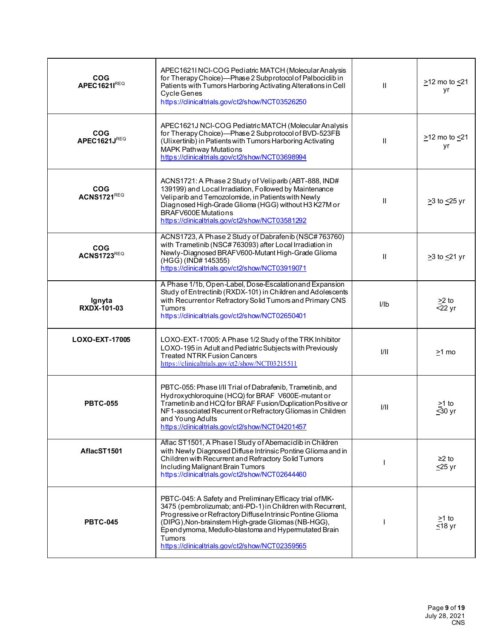| <b>COG</b><br><b>APEC1621IREQ</b>    | APEC1621I NCI-COG Pediatric MATCH (Molecular Analysis<br>for Therapy Choice)-Phase 2 Subprotocol of Palbociclib in<br>Patients with Tumors Harboring Activating Alterations in Cell<br>Cycle Genes<br>https://clinicaltrials.gov/ct2/show/NCT03526250                                                                                                                  | $\mathbf{H}$ | >12 mo to <21<br>yr                |
|--------------------------------------|------------------------------------------------------------------------------------------------------------------------------------------------------------------------------------------------------------------------------------------------------------------------------------------------------------------------------------------------------------------------|--------------|------------------------------------|
| <b>COG</b><br>APEC1621JREQ           | APEC1621J NCI-COG Pediatric MATCH (Molecular Analysis<br>for Therapy Choice)-Phase 2 Subprotocol of BVD-523FB<br>(Ulixertinib) in Patients with Tumors Harboring Activating<br>MAPK Pathway Mutations<br>https://clinicaltrials.gov/ct2/show/NCT03698994                                                                                                               | Ш            | $\geq$ 12 mo to $\leq$ 21<br>yr    |
| <b>COG</b><br>ACNS1721REQ            | ACNS1721: A Phase 2 Study of Veliparib (ABT-888, IND#<br>139199) and Local Irradiation, Followed by Maintenance<br>Veliparib and Temozolomide, in Patients with Newly<br>Diagnosed High-Grade Glioma (HGG) without H3 K27M or<br><b>BRAFV600E Mutations</b><br>https://clinicaltrials.gov/ct2/show/NCT03581292                                                         | $\mathbf{H}$ | ≥3 to <u>&lt;</u> 25 yr            |
| $\overline{c}$<br><b>ACNS1723REQ</b> | ACNS1723, A Phase 2 Study of Dabrafenib (NSC#763760)<br>with Trametinib (NSC#763093) after Local Irradiation in<br>Newly-Diagnosed BRAFV600-Mutant High-Grade Glioma<br>(HGG) (IND#145355)<br>https://clinicaltrials.gov/ct2/show/NCT03919071                                                                                                                          | $\mathbf{H}$ | $\geq$ 3 to $\leq$ 21 yr           |
| Ignyta<br>RXDX-101-03                | A Phase 1/1b, Open-Label, Dose-Escalation and Expansion<br>Study of Entrectinib (RXDX-101) in Children and Adolescents<br>with Recurrentor Refractory Solid Tumors and Primary CNS<br><b>Tumors</b><br>https://clinicaltrials.gov/ct2/show/NCT02650401                                                                                                                 | I/Ib         | $\geq$ 2 to<br>$\overline{5}$ 2 yr |
| LOXO-EXT-17005                       | LOXO-EXT-17005: A Phase 1/2 Study of the TRK Inhibitor<br>LOXO-195 in Adult and Pediatric Subjects with Previously<br><b>Treated NTRK Fusion Cancers</b><br>https://clinicaltrials.gov/ct2/show/NCT03215511                                                                                                                                                            | 1/11         | $>1$ mo                            |
| <b>PBTC-055</b>                      | PBTC-055: Phase I/II Trial of Dabrafenib, Trametinib, and<br>Hydroxychloroquine (HCQ) for BRAF V600E-mutant or<br>Trametinib and HCQ for BRAF Fusion/Duplication Positive or<br>NF1-associated Recurrent or Refractory Gliomas in Children<br>and Young Adults<br>https://clinicaltrials.gov/ct2/show/NCT04201457                                                      | I/II         | $\geq$ 1 to<br>$≤30$ yr            |
| AflacST1501                          | Aflac ST1501, A Phase I Study of Abemaciclib in Children<br>with Newly Diagnosed Diffuse Intrinsic Pontine Glioma and in<br>Children with Recurrent and Refractory Solid Tumors<br>Including Malignant Brain Tumors<br>https://clinicaltrials.gov/ct2/show/NCT02644460                                                                                                 |              | $≥2$ to<br>$\leq$ 25 yr            |
| <b>PBTC-045</b>                      | PBTC-045: A Safety and Preliminary Efficacy trial of MK-<br>3475 (pembrolizumab; anti-PD-1) in Children with Recurrent,<br>Progressive or Refractory Diffuse Intrinsic Pontine Glioma<br>(DIPG), Non-brainstem High-grade Gliomas (NB-HGG),<br>Ependymoma, Medullo-blastoma and Hypermutated Brain<br><b>Tumors</b><br>https://clinicaltrials.gov/ct2/show/NCT02359565 |              | >1 to<br>$\overline{\leq}$ 18 yr   |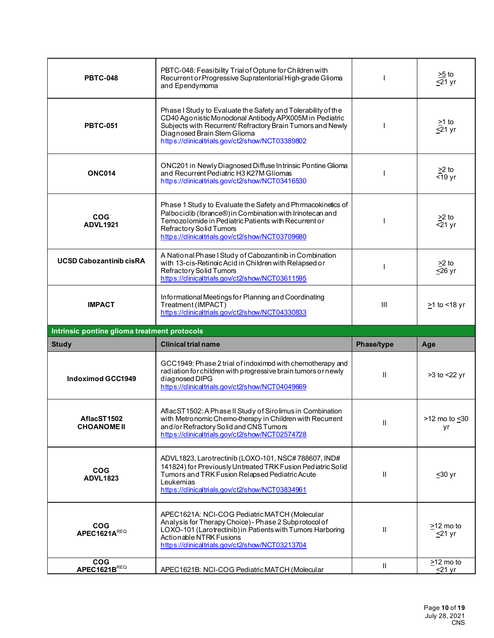| <b>PBTC-048</b>                              | PBTC-048: Feasibility Trial of Optune for Children with<br>Recurrent or Progressive Supratentorial High-grade Glioma<br>and Ependymoma                                                                                                                                  |              | $\frac{>5}{\leq}1$ yr               |
|----------------------------------------------|-------------------------------------------------------------------------------------------------------------------------------------------------------------------------------------------------------------------------------------------------------------------------|--------------|-------------------------------------|
| <b>PBTC-051</b>                              | Phase I Study to Evaluate the Safety and Tolerability of the<br>CD40 Agonistic Monoclonal Antibody APX005M in Pediatric<br>Subjects with Recurrent/ Refractory Brain Tumors and Newly<br>Diagnosed Brain Stem Glioma<br>https://clinicaltrials.gov/ct2/show/NCT03389802 |              | $\geq$ 1 to<br>$\leq$ 21 yr         |
| <b>ONC014</b>                                | ONC201 in Newly Diagnosed Diffuse Intrinsic Pontine Glioma<br>and Recurrent Pediatric H3 K27M Gliomas<br>https://clinicaltrials.gov/ct2/show/NCT03416530                                                                                                                |              | $\geq$ 2 to<br>$\overline{5}$ 19 yr |
| <b>COG</b><br><b>ADVL1921</b>                | Phase 1 Study to Evaluate the Safety and Phrmacokinetics of<br>Palbociclib (Ibrance®) in Combination with Irinotecan and<br>Temozolomide in Pediatric Patients with Recurrent or<br>Refractory Solid Tumors<br>https://clinicaltrials.gov/ct2/show/NCT03709680          |              | $>2$ to<br>$<$ 21 yr                |
| <b>UCSD Cabozantinib cisRA</b>               | A National Phase I Study of Cabozantinib in Combination<br>with 13-cis-Retinoic Acid in Children with Relapsed or<br>Refractory Solid Tumors<br>https://clinicaltrials.gov/ct2/show/NCT03611595                                                                         |              | >2 to<br>$\overline{\leq}26$ yr     |
| <b>IMPACT</b>                                | Informational Meetings for Planning and Coordinating<br>Treatment (IMPACT)<br>https://clinicaltrials.gov/ct2/show/NCT04330833                                                                                                                                           | III          | <u>&gt;</u> 1 to <18 yr             |
|                                              |                                                                                                                                                                                                                                                                         |              |                                     |
| Intrinsic pontine glioma treatment protocols |                                                                                                                                                                                                                                                                         |              |                                     |
| <b>Study</b>                                 | <b>Clinical trial name</b>                                                                                                                                                                                                                                              | Phase/type   | Age                                 |
| <b>Indoximod GCC1949</b>                     | GCC1949: Phase 2 trial of indoximod with chemotherapy and<br>radiation for children with progressive brain tumors or newly<br>diagnosed DIPG<br>https://clinicaltrials.gov/ct2/show/NCT04049669                                                                         | Ш            | >3 to <22 yr                        |
| AflacST1502<br><b>CHOANOME II</b>            | AflacST1502: A Phase II Study of Sirolimus in Combination<br>with Metronomic Chemo-therapy in Children with Recurrent<br>and/or Refractory Solid and CNS Tumors<br>https://clinicaltrials.gov/ct2/show/NCT02574728                                                      | Ш            | >12 mo to <30<br>yr                 |
| <b>COG</b><br><b>ADVL1823</b>                | ADVL1823, Larotrectinib (LOXO-101, NSC#788607, IND#<br>141824) for Previously Untreated TRK Fusion Pediatric Solid<br>Tumors and TRK Fusion Relapsed Pediatric Acute<br>Leukemias<br>https://clinicaltrials.gov/ct2/show/NCT03834961                                    | $\mathbf{H}$ | $≤30$ yr                            |
| <b>COG</b><br>APEC1621AREQ                   | APEC1621A: NCI-COG Pediatric MATCH (Molecular<br>Analysis for Therapy Choice) - Phase 2 Subprotocol of<br>LOXO-101 (Larotrectinib) in Patients with Tumors Harboring<br>Actionable NTRK Fusions<br>https://clinicaltrials.gov/ct2/show/NCT03213704                      | $\mathbf{H}$ | $>12$ mo to<br>$\leq$ 21 yr         |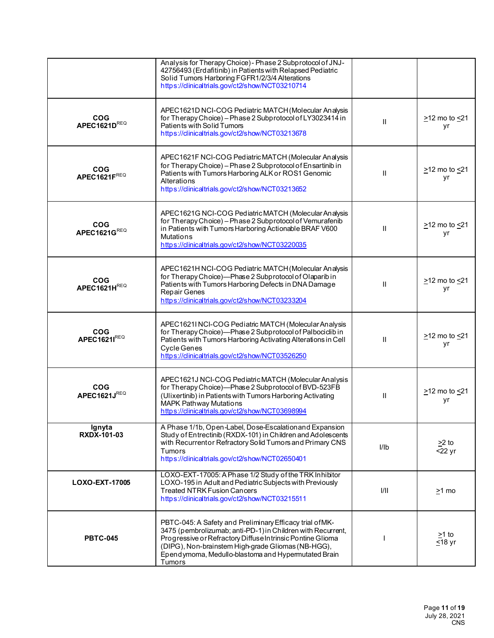|                              | Analysis for Therapy Choice) - Phase 2 Subprotocol of JNJ-<br>42756493 (Erdafitinib) in Patients with Relapsed Pediatric<br>Solid Tumors Harboring FGFR1/2/3/4 Alterations<br>https://clinicaltrials.gov/ct2/show/NCT03210714                                                                                |              |                                 |
|------------------------------|--------------------------------------------------------------------------------------------------------------------------------------------------------------------------------------------------------------------------------------------------------------------------------------------------------------|--------------|---------------------------------|
| <b>COG</b><br>APEC1621DREQ   | APEC1621D NCI-COG Pediatric MATCH (Molecular Analysis<br>for Therapy Choice) - Phase 2 Subprotocol of LY3023414 in<br>Patients with Solid Tumors<br>https://clinicaltrials.gov/ct2/show/NCT03213678                                                                                                          | Ш            | $\geq$ 12 mo to $\leq$ 21<br>yr |
| <b>COG</b><br>APEC1621FREQ   | APEC1621F NCI-COG Pediatric MATCH (Molecular Analysis<br>for Therapy Choice) - Phase 2 Subprotocol of Ensartinib in<br>Patients with Tumors Harboring ALK or ROS1 Genomic<br>Alterations<br>https://clinicaltrials.gov/ct2/show/NCT03213652                                                                  | $\mathbf{H}$ | $\geq$ 12 mo to $\leq$ 21<br>yr |
| <b>COG</b><br>APEC1621GREQ   | APEC1621G NCI-COG Pediatric MATCH (Molecular Analysis<br>for Therapy Choice) - Phase 2 Subprotocol of Vemurafenib<br>in Patients with Tumors Harboring Actionable BRAF V600<br><b>Mutations</b><br>https://clinicaltrials.gov/ct2/show/NCT03220035                                                           | H.           | $\geq$ 12 mo to $\leq$ 21<br>yr |
| <b>COG</b><br>APEC1621HREQ   | APEC1621H NCI-COG Pediatric MATCH (Molecular Analysis<br>for Therapy Choice)-Phase 2 Subprotocol of Olaparib in<br>Patients with Tumors Harboring Defects in DNA Damage<br>Repair Genes<br>https://clinicaltrials.gov/ct2/show/NCT03233204                                                                   | $\mathbf{H}$ | $\geq$ 12 mo to $\leq$ 21<br>yr |
| <b>COG</b><br>APEC1621IREQ   | APEC1621I NCI-COG Pediatric MATCH (Molecular Analysis<br>for Therapy Choice)-Phase 2 Subprotocol of Palbociclib in<br>Patients with Tumors Harboring Activating Alterations in Cell<br>Cycle Genes<br>https://clinicaltrials.gov/ct2/show/NCT03526250                                                        | H.           | $\geq$ 12 mo to $\leq$ 21<br>уr |
| <b>COG</b><br>APEC1621JREQ   | APEC1621J NCI-COG Pediatric MATCH (Molecular Analysis<br>for Therapy Choice)-Phase 2 Subprotocol of BVD-523FB<br>(Ulixertinib) in Patients with Tumors Harboring Activating<br><b>MAPK Pathway Mutations</b><br>https://clinicaltrials.gov/ct2/show/NCT03698994                                              | Ш            | >12 mo to <21<br>уr             |
| Ignyta<br><b>RXDX-101-03</b> | A Phase 1/1b, Open-Label, Dose-Escalation and Expansion<br>Study of Entrectinib (RXDX-101) in Children and Adolescents<br>with Recurrentor Refractory Solid Tumors and Primary CNS<br><b>Tumors</b><br>https://dinicaltrials.gov/ct2/show/NCT02650401                                                        | I/Ib         | $\geq$ 2 to<br>$<$ 22 yr        |
| LOXO-EXT-17005               | LOXO-EXT-17005: A Phase 1/2 Study of the TRK Inhibitor<br>LOXO-195 in Adult and Pediatric Subjects with Previously<br><b>Treated NTRK Fusion Cancers</b><br>https://dinicaltrials.gov/ct2/show/NCT03215511                                                                                                   | 1/11         | >1 mo                           |
| <b>PBTC-045</b>              | PBTC-045: A Safety and Preliminary Efficacy trial of MK-<br>3475 (pembrolizumab; anti-PD-1) in Children with Recurrent,<br>Progressive or Refractory Diffuse Intrinsic Pontine Glioma<br>(DIPG), Non-brainstem High-grade Gliomas (NB-HGG),<br>Ependymoma, Medullo-blastoma and Hypermutated Brain<br>Tumors |              | >1 to<br>$≤18$ yr               |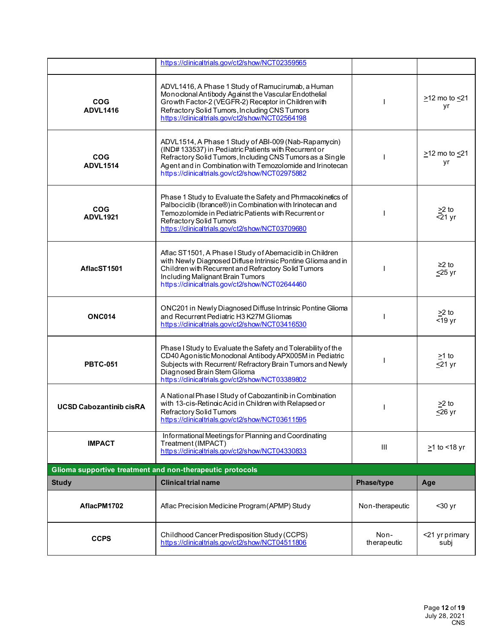|                                | https://clinicaltrials.gov/ct2/show/NCT02359565                                                                                                                                                                                                                                           |                 |                                 |
|--------------------------------|-------------------------------------------------------------------------------------------------------------------------------------------------------------------------------------------------------------------------------------------------------------------------------------------|-----------------|---------------------------------|
| <b>COG</b><br><b>ADVL1416</b>  | ADVL1416, A Phase 1 Study of Ramucirumab, a Human<br>Monoclonal Antibody Against the Vascular Endothelial<br>Growth Factor-2 (VEGFR-2) Receptor in Children with<br>Refractory Solid Tumors, Including CNS Tumors<br>https://clinicaltrials.gov/ct2/show/NCT02564198                      |                 | >12 mo to <21<br>yr             |
| <b>COG</b><br><b>ADVL1514</b>  | ADVL1514, A Phase 1 Study of ABI-009 (Nab-Rapamycin)<br>(IND#133537) in Pediatric Patients with Recurrent or<br>Refractory Solid Tumors, Including CNS Tumors as a Single<br>Agent and in Combination with Temozolomide and Irinotecan<br>https://clinicaltrials.gov/ct2/show/NCT02975882 |                 | $\geq$ 12 mo to $\leq$ 21<br>yr |
| <b>COG</b><br><b>ADVL1921</b>  | Phase 1 Study to Evaluate the Safety and Phrmacokinetics of<br>Palbociclib (Ibrance®) in Combination with Irinotecan and<br>Temozolomide in Pediatric Patients with Recurrent or<br>Refractory Solid Tumors<br>https://clinicaltrials.gov/ct2/show/NCT03709680                            |                 | $\frac{\geq 2}{\leq 21}$ yr     |
| AflacST1501                    | Aflac ST1501, A Phase I Study of Abemaciclib in Children<br>with Newly Diagnosed Diffuse Intrinsic Pontine Glioma and in<br>Children with Recurrent and Refractory Solid Tumors<br>Including Malignant Brain Tumors<br>https://clinicaltrials.gov/ct2/show/NCT02644460                    |                 | $≥2$ to<br>$\leq$ 25 yr         |
| <b>ONC014</b>                  | ONC201 in Newly Diagnosed Diffuse Intrinsic Pontine Glioma<br>and Recurrent Pediatric H3 K27M Gliomas<br>https://clinicaltrials.gov/ct2/show/NCT03416530                                                                                                                                  |                 | $>2$ to<br>$<$ 19 yr            |
| <b>PBTC-051</b>                | Phase I Study to Evaluate the Safety and Tolerability of the<br>CD40 Agonistic Monoclonal Antibody APX005M in Pediatric<br>Subjects with Recurrent/ Refractory Brain Tumors and Newly<br>Diagnosed Brain Stem Glioma<br>https://clinicaltrials.gov/ct2/show/NCT03389802                   |                 | $>1$ to<br>$\leq$ 21 yr         |
| <b>UCSD Cabozantinib cisRA</b> | A National Phase I Study of Cabozantinib in Combination<br>with 13-cis-Retinoic Acid in Children with Relapsed or<br>Refractory Solid Tumors                                                                                                                                              |                 | $>2$ to<br>$≤26$ yr             |
|                                | https://clinicaltrials.gov/ct2/show/NCT03611595                                                                                                                                                                                                                                           |                 |                                 |
| <b>IMPACT</b>                  | Informational Meetings for Planning and Coordinating<br>Treatment (IMPACT)<br>https://clinicaltrials.gov/ct2/show/NCT04330833                                                                                                                                                             | Ш               | $\geq$ 1 to <18 yr              |
|                                | Glioma supportive treatment and non-therapeutic protocols                                                                                                                                                                                                                                 |                 |                                 |
| <b>Study</b>                   | <b>Clinical trial name</b>                                                                                                                                                                                                                                                                | Phase/type      | Age                             |
| AflacPM1702                    | Aflac Precision Medicine Program (APMP) Study                                                                                                                                                                                                                                             | Non-therapeutic | $30$ yr                         |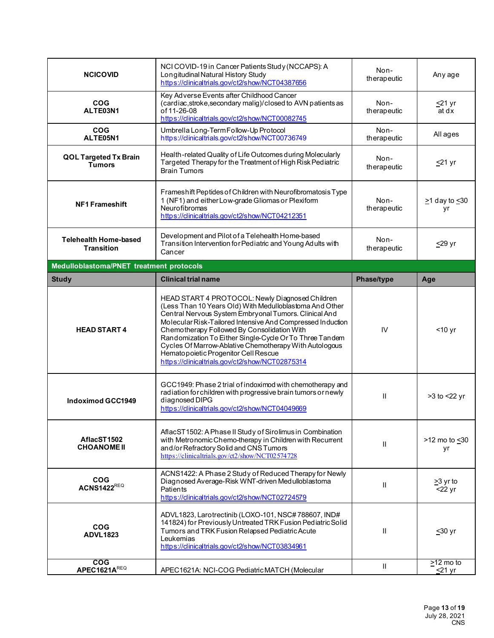| <b>NCICOVID</b>                                                      | NCI COVID-19 in Cancer Patients Study (NCCAPS): A<br>Longitudinal Natural History Study<br>https://clinicaltrials.gov/ct2/show/NCT04387656                                                                                                                                                                                                                                                                                                    | Non-<br>therapeutic | Any age                         |
|----------------------------------------------------------------------|-----------------------------------------------------------------------------------------------------------------------------------------------------------------------------------------------------------------------------------------------------------------------------------------------------------------------------------------------------------------------------------------------------------------------------------------------|---------------------|---------------------------------|
| <b>COG</b><br>ALTE03N1<br>of 11-26-08                                | Key Adverse Events after Childhood Cancer<br>(cardiac, stroke, secondary malig)/closed to AVN patients as<br>https://clinicaltrials.gov/ct2/show/NCT00082745                                                                                                                                                                                                                                                                                  | Non-<br>therapeutic | <u>&lt;</u> 21 yr<br>at dx      |
| <b>COG</b><br>ALTE05N1                                               | Umbrella Long-Term Follow-Up Protocol<br>https://clinicaltrials.gov/ct2/show/NCT00736749                                                                                                                                                                                                                                                                                                                                                      | Non-<br>therapeutic | All ages                        |
| <b>QOL Targeted Tx Brain</b><br><b>Tumors</b><br><b>Brain Tumors</b> | Health-related Quality of Life Outcomes during Molecularly<br>Targeted Therapy for the Treatment of High Risk Pediatric                                                                                                                                                                                                                                                                                                                       | Non-<br>therapeutic | <u>≤</u> 21 yr                  |
| <b>NF1 Frameshift</b><br>Neurofibromas                               | Frameshift Peptides of Children with Neurofibromatosis Type<br>1 (NF1) and either Low-grade Gliomas or Plexiform<br>https://clinicaltrials.gov/ct2/show/NCT04212351                                                                                                                                                                                                                                                                           | Non-<br>therapeutic | $\geq$ 1 day to $\leq$ 30<br>yr |
| <b>Telehealth Home-based</b><br><b>Transition</b><br>Cancer          | Development and Pilot of a Telehealth Home-based<br>Transition Intervention for Pediatric and Young Adults with                                                                                                                                                                                                                                                                                                                               | Non-<br>therapeutic | ≤29 yr                          |
| Medulloblastoma/PNET treatment protocols                             |                                                                                                                                                                                                                                                                                                                                                                                                                                               |                     |                                 |
| <b>Clinical trial name</b><br><b>Study</b>                           |                                                                                                                                                                                                                                                                                                                                                                                                                                               | Phase/type          | Age                             |
| <b>HEAD START 4</b>                                                  | HEAD START 4 PROTOCOL: Newly Diagnosed Children<br>(Less Than 10 Years Old) With Medulloblastoma And Other<br>Central Nervous System Embryonal Tumors. Clinical And<br>Molecular Risk-Tailored Intensive And Compressed Induction<br>Chemotherapy Followed By Consolidation With<br>Randomization To Either Single-Cycle Or To Three Tandem<br>Cycles Of Marrow-Ablative Chemotherapy With Autologous<br>Hematopoietic Progenitor Cell Rescue | IV                  | $<$ 10 yr                       |
| diagnosed DIPG<br><b>Indoximod GCC1949</b>                           | https://clinicaltrials.gov/ct2/show/NCT02875314                                                                                                                                                                                                                                                                                                                                                                                               |                     |                                 |
| AflacST1502                                                          | GCC1949: Phase 2 trial of indoximod with chemotherapy and<br>radiation for children with progressive brain tumors or newly<br>https://clinicaltrials.gov/ct2/show/NCT04049669                                                                                                                                                                                                                                                                 | Ш                   | >3 to <22 yr                    |
| <b>CHOANOME II</b>                                                   | AflacST1502: A Phase II Study of Sirolimus in Combination<br>with Metronomic Chemo-therapy in Children with Recurrent<br>and/or Refractory Solid and CNS Tumors<br>https://clinicaltrials.gov/ct2/show/NCT02574728                                                                                                                                                                                                                            | $\mathbf{II}$       | $>12$ mo to $\leq 30$<br>yr     |
| <b>COG</b><br><b>ACNS1422REQ</b><br>Patients                         | ACNS1422: A Phase 2 Study of Reduced Therapy for Newly<br>Diagnosed Average-Risk WNT-driven Medulloblastoma<br>https://clinicaltrials.gov/ct2/show/NCT02724579                                                                                                                                                                                                                                                                                | $\mathbf{I}$        | >3 yr to<br>$<$ 22 yr           |
| <b>COG</b><br><b>ADVL1823</b><br>Leukemias                           | ADVL1823, Larotrectinib (LOXO-101, NSC#788607, IND#<br>141824) for Previously Untreated TRK Fusion Pediatric Solid<br>Tumors and TRK Fusion Relapsed Pediatric Acute<br>https://clinicaltrials.gov/ct2/show/NCT03834961                                                                                                                                                                                                                       | $\mathbf{I}$        | <u>&lt;</u> 30 yr               |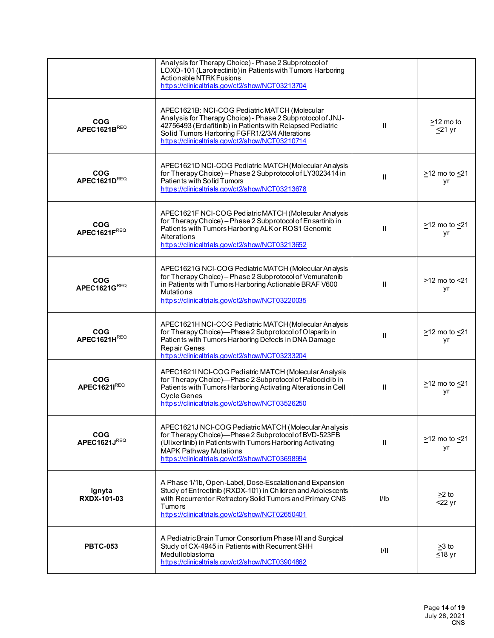|                              | Analysis for Therapy Choice) - Phase 2 Subprotocol of<br>LOXO-101 (Larotrectinib) in Patients with Tumors Harboring<br>Actionable NTRK Fusions<br>https://clinicaltrials.gov/ct2/show/NCT03213704                                                                              |              |                                   |
|------------------------------|--------------------------------------------------------------------------------------------------------------------------------------------------------------------------------------------------------------------------------------------------------------------------------|--------------|-----------------------------------|
| <b>COG</b><br>APEC1621BREQ   | APEC1621B: NCI-COG Pediatric MATCH (Molecular<br>Analysis for Therapy Choice) - Phase 2 Subprotocol of JNJ-<br>42756493 (Erdafitinib) in Patients with Relapsed Pediatric<br>Solid Tumors Harboring FGFR1/2/3/4 Alterations<br>https://clinicaltrials.gov/ct2/show/NCT03210714 | Ш            | $\geq$ 12 mo to<br>$\leq$ 21 yr   |
| <b>COG</b><br>APEC1621DREQ   | APEC1621D NCI-COG Pediatric MATCH (Molecular Analysis<br>for Therapy Choice) - Phase 2 Subprotocol of LY3023414 in<br>Patients with Solid Tumors<br>https://clinicaltrials.gov/ct2/show/NCT03213678                                                                            | $\mathbf{H}$ | >12 mo to <21<br>уr               |
| <b>COG</b><br>APEC1621FREQ   | APEC1621F NCI-COG Pediatric MATCH (Molecular Analysis<br>for Therapy Choice) - Phase 2 Subprotocol of Ensartinib in<br>Patients with Tumors Harboring ALK or ROS1 Genomic<br>Alterations<br>https://clinicaltrials.gov/ct2/show/NCT03213652                                    | $\mathbf{I}$ | $\geq$ 12 mo to $\leq$ 21<br>yr   |
| <b>COG</b><br>APEC1621GREQ   | APEC1621G NCI-COG Pediatric MATCH (Molecular Analysis<br>for Therapy Choice) - Phase 2 Subprotocol of Vemurafenib<br>in Patients with Tumors Harboring Actionable BRAF V600<br><b>Mutations</b><br>https://clinicaltrials.gov/ct2/show/NCT03220035                             | $\mathbf{H}$ | $\geq$ 12 mo to $\leq$ 21<br>yr   |
| <b>COG</b><br>APEC1621HREQ   | APEC1621H NCI-COG Pediatric MATCH (Molecular Analysis<br>for Therapy Choice)-Phase 2 Subprotocol of Olaparib in<br>Patients with Tumors Harboring Defects in DNA Damage<br><b>Repair Genes</b><br>https://clinicaltrials.gov/ct2/show/NCT03233204                              | Ш            | $\geq$ 12 mo to $\leq$ 21<br>уr   |
| <b>COG</b><br>APEC1621IREQ   | APEC1621I NCI-COG Pediatric MATCH (Molecular Analysis<br>for Therapy Choice)-Phase 2 Subprotocol of Palbociclib in<br>Patients with Tumors Harboring Activating Alterations in Cell<br><b>Cycle Genes</b><br>https://clinicaltrials.gov/ct2/show/NCT03526250                   | Ш            | >12 mo to <21<br>уr               |
| COG<br>APEC1621JREQ          | APEC1621J NCI-COG Pediatric MATCH (Molecular Analysis<br>for Therapy Choice)-Phase 2 Subprotocol of BVD-523FB<br>(Ulixertinib) in Patients with Tumors Harboring Activating<br><b>MAPK Pathway Mutations</b><br>https://clinicaltrials.gov/ct2/show/NCT03698994                | $\mathbf{I}$ | $\geq$ 12 mo to $\leq$ 21<br>yr   |
| Ignyta<br><b>RXDX-101-03</b> | A Phase 1/1b, Open-Label, Dose-Escalation and Expansion<br>Study of Entrectinib (RXDX-101) in Children and Adolescents<br>with Recurrentor Refractory Solid Tumors and Primary CNS<br><b>Tumors</b><br>https://clinicaltrials.gov/ct2/show/NCT02650401                         | I/Ib         | $\geq$ 2 to<br>$22 \,\mathrm{yr}$ |
| <b>PBTC-053</b>              | A Pediatric Brain Tumor Consortium Phase I/II and Surgical<br>Study of CX-4945 in Patients with Recurrent SHH<br>Medulloblastoma<br>https://clinicaltrials.gov/ct2/show/NCT03904862                                                                                            | 1/11         | $>3$ to<br>$≤18$ yr               |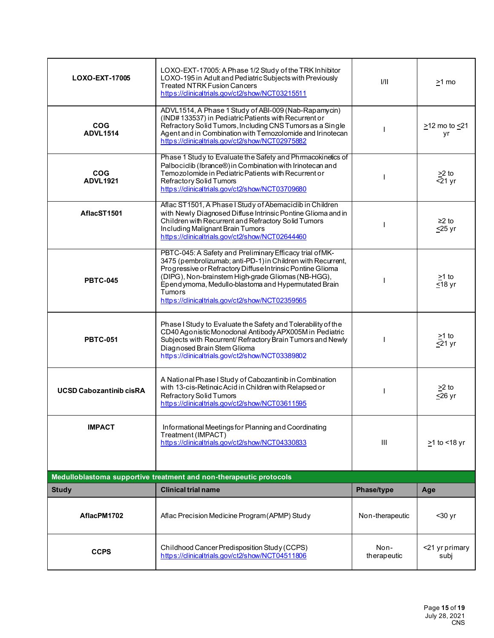| LOXO-EXT-17005                                                                                                                        | LOXO-EXT-17005: A Phase 1/2 Study of the TRK Inhibitor<br>LOXO-195 in Adult and Pediatric Subjects with Previously<br><b>Treated NTRK Fusion Cancers</b><br>https://clinicaltrials.gov/ct2/show/NCT03215511                                                                                                                                                     | 1/11                | >1 mo                                 |
|---------------------------------------------------------------------------------------------------------------------------------------|-----------------------------------------------------------------------------------------------------------------------------------------------------------------------------------------------------------------------------------------------------------------------------------------------------------------------------------------------------------------|---------------------|---------------------------------------|
| <b>COG</b><br><b>ADVL1514</b>                                                                                                         | ADVL1514, A Phase 1 Study of ABI-009 (Nab-Rapamycin)<br>(IND#133537) in Pediatric Patients with Recurrent or<br>Refractory Solid Tumors, Including CNS Tumors as a Single<br>Agent and in Combination with Temozolomide and Irinotecan<br>https://dinicaltrials.gov/ct2/show/NCT02975882                                                                        |                     | $\geq$ 12 mo to $\leq$ 21<br>уr       |
| <b>COG</b><br><b>ADVL1921</b>                                                                                                         | Phase 1 Study to Evaluate the Safety and Phrmacokinetics of<br>Palbociclib (Ibrance®) in Combination with Irinotecan and<br>Temozolomide in Pediatric Patients with Recurrent or<br>Refractory Solid Tumors<br>https://clinicaltrials.gov/ct2/show/NCT03709680                                                                                                  |                     | $>2$ to<br>$<$ 21 yr                  |
| AflacST1501                                                                                                                           | Aflac ST1501, A Phase I Study of Abemaciclib in Children<br>with Newly Diagnosed Diffuse Intrinsic Pontine Glioma and in<br>Children with Recurrent and Refractory Solid Tumors<br>Including Malignant Brain Tumors<br>https://clinicaltrials.gov/ct2/show/NCT02644460                                                                                          |                     | $≥2$ to<br>$\leq$ 25 yr               |
| <b>PBTC-045</b>                                                                                                                       | PBTC-045: A Safety and Preliminary Efficacy trial of MK-<br>3475 (pembrolizumab; anti-PD-1) in Children with Recurrent,<br>Progressive or Refractory Diffuse Intrinsic Pontine Glioma<br>(DIPG), Non-brainstem High-grade Gliomas (NB-HGG),<br>Ependymoma, Medullo-blastoma and Hypermutated Brain<br>Tumors<br>https://clinicaltrials.gov/ct2/show/NCT02359565 |                     | $\geq$ 1 to<br>$\overline{\leq}18$ yr |
| <b>PBTC-051</b>                                                                                                                       | Phase I Study to Evaluate the Safety and Tolerability of the<br>CD40 Agonistic Monoclonal Antibody APX005M in Pediatric<br>Subjects with Recurrent/Refractory Brain Tumors and Newly<br>Diagnosed Brain Stem Glioma<br>https://clinicaltrials.gov/ct2/show/NCT03389802                                                                                          |                     | >1 to<br>$\leq$ 21 yr                 |
| <b>UCSD Cabozantinib cisRA</b>                                                                                                        | A National Phase I Study of Cabozantinib in Combination<br>with 13-cis-Retinoic Acid in Children with Relapsed or<br>Refractory Solid Tumors<br>https://clinicaltrials.gov/ct2/show/NCT03611595                                                                                                                                                                 |                     | $>2$ to<br>$\leq$ 26 yr               |
| <b>IMPACT</b>                                                                                                                         | Informational Meetings for Planning and Coordinating<br>Treatment (IMPACT)<br>https://clinicaltrials.gov/ct2/show/NCT04330833                                                                                                                                                                                                                                   | III                 | $\geq$ 1 to <18 yr                    |
| Medulloblastoma supportive treatment and non-therapeutic protocols<br><b>Clinical trial name</b><br>Phase/type<br><b>Study</b><br>Age |                                                                                                                                                                                                                                                                                                                                                                 |                     |                                       |
| AflacPM1702                                                                                                                           | Aflac Precision Medicine Program (APMP) Study                                                                                                                                                                                                                                                                                                                   | Non-therapeutic     | $30$ yr                               |
| <b>CCPS</b>                                                                                                                           | Childhood Cancer Predisposition Study (CCPS)<br>https://clinicaltrials.gov/ct2/show/NCT04511806                                                                                                                                                                                                                                                                 | Non-<br>therapeutic | <21 yr primary<br>subj                |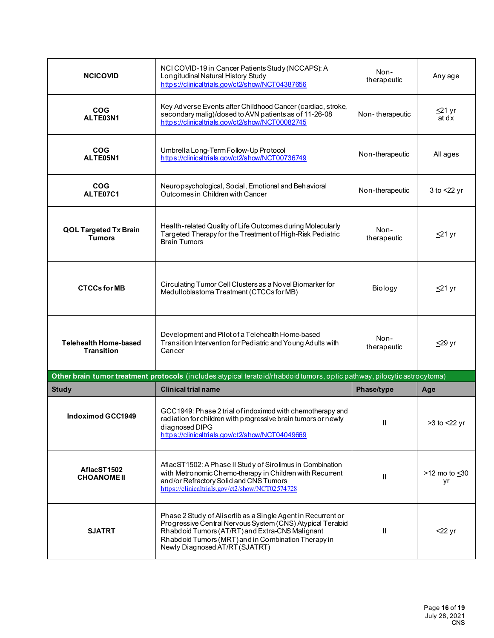| <b>NCICOVID</b>                                   | NCI COVID-19 in Cancer Patients Study (NCCAPS): A<br>Longitudinal Natural History Study<br>https://clinicaltrials.gov/ct2/show/NCT04387656                                                                                                                             | Non-<br>therapeutic        | Any age                    |
|---------------------------------------------------|------------------------------------------------------------------------------------------------------------------------------------------------------------------------------------------------------------------------------------------------------------------------|----------------------------|----------------------------|
| <b>COG</b><br>ALTE03N1                            | Key Adverse Events after Childhood Cancer (cardiac, stroke,<br>secondary malig)/closed to AVN patients as of 11-26-08<br>https://clinicaltrials.gov/ct2/show/NCT00082745                                                                                               | Non-therapeutic            | <u>&lt;</u> 21 yr<br>at dx |
| <b>COG</b><br>ALTE05N1                            | Umbrella Long-Term Follow-Up Protocol<br>https://clinicaltrials.gov/ct2/show/NCT00736749                                                                                                                                                                               | Non-therapeutic            | All ages                   |
| <b>COG</b><br>ALTE07C1                            | Neuropsychological, Social, Emotional and Behavioral<br>Outcomes in Children with Cancer                                                                                                                                                                               | Non-therapeutic            | 3 to $<$ 22 yr             |
| <b>QOL Targeted Tx Brain</b><br><b>Tumors</b>     | Health-related Quality of Life Outcomes during Molecularly<br>Targeted Therapy for the Treatment of High-Risk Pediatric<br><b>Brain Tumors</b>                                                                                                                         | Non-<br>therapeutic        | <u>&lt;</u> 21 yr          |
| <b>CTCCs for MB</b>                               | Circulating Tumor Cell Clusters as a Novel Biomarker for<br>Medulloblastoma Treatment (CTCCs for MB)                                                                                                                                                                   | Biology                    | <u>≤</u> 21 yr             |
| <b>Telehealth Home-based</b><br><b>Transition</b> | Development and Pilot of a Telehealth Home-based<br>Transition Intervention for Pediatric and Young Adults with<br>Cancer                                                                                                                                              | Non-<br>therapeutic        | $\leq$ 29 yr               |
|                                                   | Other brain tumor treatment protocols (includes atypical teratoid/rhabdoid tumors, optic pathway, pilocyticastrocytoma)                                                                                                                                                |                            |                            |
| <b>Study</b><br>Indoximod GCC1949                 | <b>Clinical trial name</b><br>GCC1949: Phase 2 trial of indoximod with chemotherapy and<br>radiation for children with progressive brain tumors or newly<br>diagnosed DIPG<br>https://dinicaltrials.gov/ct2/show/NCT04049669                                           | Phase/type<br>$\mathbf{H}$ | Age<br>>3 to <22 yr        |
| AflacST1502<br><b>CHOANOME II</b>                 | AflacST1502: A Phase II Study of Sirolimus in Combination<br>with Metronomic Chemo-therapy in Children with Recurrent<br>and/or Refractory Solid and CNS Tumors<br>https://clinicaltrials.gov/ct2/show/NCT02574728                                                     | $\mathbf{H}$               | >12 mo to <30<br>yr        |
| <b>SJATRT</b>                                     | Phase 2 Study of Alisertib as a Single Agent in Recurrent or<br>Progressive Central Nervous System (CNS) Atypical Teratoid<br>Rhabdoid Tumors (AT/RT) and Extra-CNS Malignant<br>Rhabdoid Tumors (MRT) and in Combination Therapy in<br>Newly Diagnosed AT/RT (SJATRT) | $\mathbf{I}$               | <22 yr                     |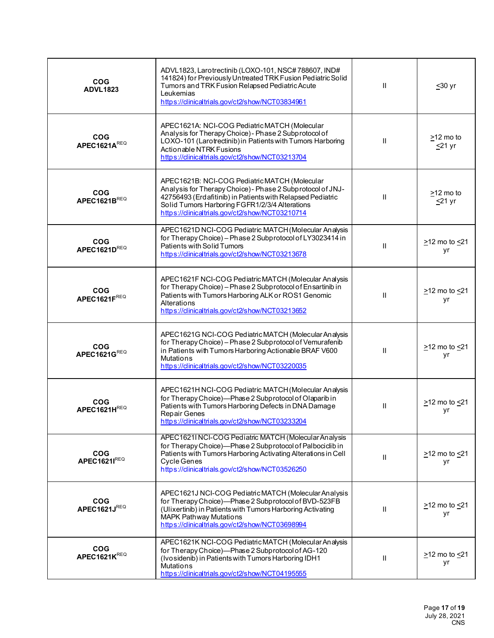| <b>COG</b><br><b>ADVL1823</b>    | ADVL1823, Larotrectinib (LOXO-101, NSC#788607, IND#<br>141824) for Previously Untreated TRK Fusion Pediatric Solid<br>Tumors and TRK Fusion Relapsed Pediatric Acute<br>Leukemias<br>https://clinicaltrials.gov/ct2/show/NCT03834961                                           | Ш            | $≤30$ yr                        |
|----------------------------------|--------------------------------------------------------------------------------------------------------------------------------------------------------------------------------------------------------------------------------------------------------------------------------|--------------|---------------------------------|
| <b>COG</b><br>APEC1621A $^{REQ}$ | APEC1621A: NCI-COG Pediatric MATCH (Molecular<br>Analysis for Therapy Choice) - Phase 2 Subprotocol of<br>LOXO-101 (Larotrectinib) in Patients with Tumors Harboring<br>Actionable NTRK Fusions<br>https://clinicaltrials.gov/ct2/show/NCT03213704                             | $\mathbf{H}$ | $\geq$ 12 mo to<br>$\leq$ 21 yr |
| <b>COG</b><br>APEC1621BREQ       | APEC1621B: NCI-COG Pediatric MATCH (Molecular<br>Analysis for Therapy Choice) - Phase 2 Subprotocol of JNJ-<br>42756493 (Erdafitinib) in Patients with Relapsed Pediatric<br>Solid Tumors Harboring FGFR1/2/3/4 Alterations<br>https://clinicaltrials.gov/ct2/show/NCT03210714 | H.           | $\geq$ 12 mo to<br>$\leq$ 21 yr |
| <b>COG</b><br>APEC1621DREQ       | APEC1621D NCI-COG Pediatric MATCH (Molecular Analysis<br>for Therapy Choice) - Phase 2 Subprotocol of LY3023414 in<br>Patients with Solid Tumors<br>https://clinicaltrials.gov/ct2/show/NCT03213678                                                                            | $\mathbf{H}$ | $\geq$ 12 mo to $\leq$ 21<br>уr |
| <b>COG</b><br>APEC1621FREQ       | APEC1621F NCI-COG Pediatric MATCH (Molecular Analysis<br>for Therapy Choice) - Phase 2 Subprotocol of Ensartinib in<br>Patients with Tumors Harboring ALK or ROS1 Genomic<br>Alterations<br>https://clinicaltrials.gov/ct2/show/NCT03213652                                    | Ш            | $\geq$ 12 mo to $\leq$ 21<br>уr |
| <b>COG</b><br>APEC1621GREQ       | APEC1621G NCI-COG Pediatric MATCH (Molecular Analysis<br>for Therapy Choice) - Phase 2 Subprotocol of Vemurafenib<br>in Patients with Tumors Harboring Actionable BRAF V600<br><b>Mutations</b><br>https://clinicaltrials.gov/ct2/show/NCT03220035                             | H.           | $\geq$ 12 mo to $\leq$ 21<br>уr |
| <b>COG</b><br>APEC1621HREQ       | APEC1621H NCI-COG Pediatric MATCH (Molecular Analysis<br>for Therapy Choice)-Phase 2 Subprotocol of Olaparib in<br>Patients with Tumors Harboring Defects in DNA Damage<br>Repair Genes<br>https://clinicaltrials.gov/ct2/show/NCT03233204                                     | Ш            | $\geq$ 12 mo to $\leq$ 21<br>уr |
| <b>COG</b><br>APEC1621IREQ       | APEC1621INCI-COG Pediatric MATCH (Molecular Analysis<br>for Therapy Choice)-Phase 2 Subprotocol of Palbociclib in<br>Patients with Tumors Harboring Activating Alterations in Cell<br><b>Cycle Genes</b><br>https://dinicaltrials.gov/ct2/show/NCT03526250                     | $\mathbf{H}$ | $\geq$ 12 mo to $\leq$ 21<br>yr |
| <b>COG</b><br>APEC1621JREQ       | APEC1621J NCI-COG Pediatric MATCH (Molecular Analysis<br>for Therapy Choice)-Phase 2 Subprotocol of BVD-523FB<br>(Ulixertinib) in Patients with Tumors Harboring Activating<br><b>MAPK Pathway Mutations</b><br>https://dinicaltrials.gov/ct2/show/NCT03698994                 | Ш            | $\geq$ 12 mo to $\leq$ 21<br>уr |
| <b>COG</b><br>APEC1621KREQ       | APEC1621K NCI-COG Pediatric MATCH (Molecular Analysis<br>for Therapy Choice)-Phase 2 Subprotocol of AG-120<br>(Ivosidenib) in Patients with Tumors Harboring IDH1<br><b>Mutations</b><br>https://clinicaltrials.gov/ct2/show/NCT04195555                                       | $\mathbf{H}$ | $\geq$ 12 mo to $\leq$ 21<br>yr |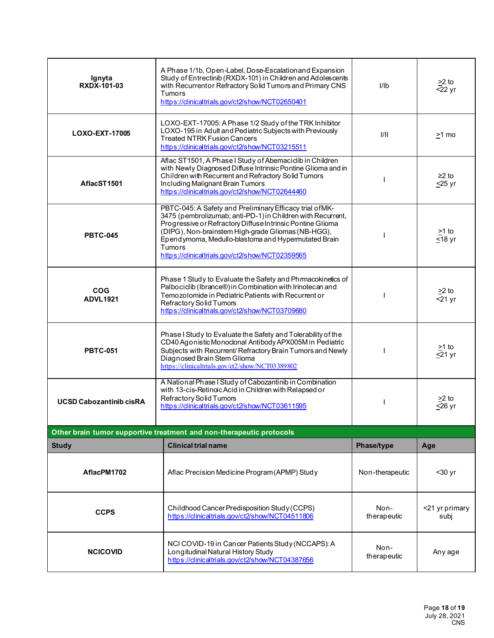| Ignyta<br><b>RXDX-101-03</b>                                         | A Phase 1/1b, Open-Label, Dose-Escalation and Expansion<br>Study of Entrectinib (RXDX-101) in Children and Adolescents<br>with Recurrentor Refractory Solid Tumors and Primary CNS<br><b>Tumors</b><br>https://clinicaltrials.gov/ct2/show/NCT02650401                                                                                                          | I <sub>1</sub>      | $\geq$ 2 to<br>$\overline{5}22 \,\mathrm{yr}$ |
|----------------------------------------------------------------------|-----------------------------------------------------------------------------------------------------------------------------------------------------------------------------------------------------------------------------------------------------------------------------------------------------------------------------------------------------------------|---------------------|-----------------------------------------------|
| LOXO-EXT-17005                                                       | LOXO-EXT-17005: A Phase 1/2 Study of the TRK Inhibitor<br>LOXO-195 in Adult and Pediatric Subjects with Previously<br><b>Treated NTRK Fusion Cancers</b><br>https://clinicaltrials.gov/ct2/show/NCT03215511                                                                                                                                                     | 1/11                | >1 mo                                         |
| AflacST1501                                                          | Aflac ST1501, A Phase I Study of Abemacicib in Children<br>with Newly Diagnosed Diffuse Intrinsic Pontine Glioma and in<br>Children with Recurrent and Refractory Solid Tumors<br>Including Malignant Brain Tumors<br>https://clinicaltrials.gov/ct2/show/NCT02644460                                                                                           |                     | $\geq$ 2 to<br>$\leq$ 25 yr                   |
| <b>PBTC-045</b>                                                      | PBTC-045: A Safety and Preliminary Efficacy trial of MK-<br>3475 (pembrolizumab; anti-PD-1) in Children with Recurrent,<br>Progressive or Refractory Diffuse Intrinsic Pontine Glioma<br>(DIPG), Non-brainstem High-grade Gliomas (NB-HGG),<br>Ependymoma, Medullo-blastoma and Hypermutated Brain<br>Tumors<br>https://clinicaltrials.gov/ct2/show/NCT02359565 |                     | >1 to<br>$518 \text{ yr}$                     |
| <b>COG</b><br><b>ADVL1921</b>                                        | Phase 1 Study to Evaluate the Safety and Phrmacokinetics of<br>Palbociclib (Ibrance®) in Combination with Irinotecan and<br>Temozolomide in Pediatric Patients with Recurrent or<br>Refractory Solid Tumors<br>https://clinicaltrials.gov/ct2/show/NCT03709680                                                                                                  |                     | $\geq$ 2 to<br>$<$ 21 yr                      |
| <b>PBTC-051</b>                                                      | Phase I Study to Evaluate the Safety and Tolerability of the<br>CD40 Agonistic Monoclonal Antibody APX005M in Pediatric<br>Subjects with Recurrent/Refractory Brain Tumors and Newly<br>Diagnosed Brain Stem Glioma<br>https://clinicaltrials.gov/ct2/show/NCT03389802                                                                                          |                     | $>1$ to<br>$\leq$ 21 yr                       |
| <b>UCSD Cabozantinib cisRA</b>                                       | A National Phase I Study of Cabozantinib in Combination<br>with 13-cis-Retinoic Acid in Children with Relapsed or<br>Refractory Solid Tumors<br>https://clinicaltrials.gov/ct2/show/NCT03611595                                                                                                                                                                 |                     | $>2$ to<br>$\overline{\leq}26$ yr             |
| Other brain tumor supportive treatment and non-therapeutic protocols |                                                                                                                                                                                                                                                                                                                                                                 |                     |                                               |
| <b>Study</b>                                                         | <b>Clinical trial name</b>                                                                                                                                                                                                                                                                                                                                      | Phase/type          | Age                                           |
| AflacPM1702                                                          | Aflac Precision Medicine Program (APMP) Study                                                                                                                                                                                                                                                                                                                   | Non-therapeutic     | $30$ yr                                       |
| <b>CCPS</b>                                                          | Childhood Cancer Predisposition Study (CCPS)<br>https://clinicaltrials.gov/ct2/show/NCT04511806                                                                                                                                                                                                                                                                 | Non-<br>therapeutic | <21 yr primary<br>subj                        |
| <b>NCICOVID</b>                                                      | NCI COVID-19 in Cancer Patients Study (NCCAPS): A<br>Longitudinal Natural History Study<br>https://clinicaltrials.gov/ct2/show/NCT04387656                                                                                                                                                                                                                      | Non-<br>therapeutic | Any age                                       |